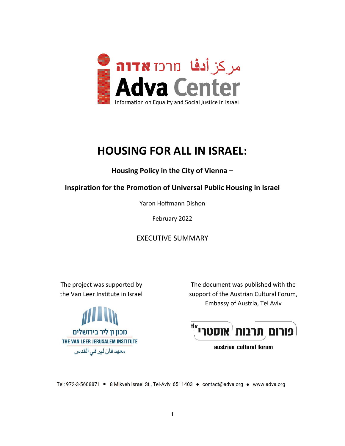

## **HOUSING FOR ALL IN ISRAEL:**

**Housing Policy in the City of Vienna –**

**Inspiration for the Promotion of Universal Public Housing in Israel**

Yaron Hoffmann Dishon

February 2022

EXECUTIVE SUMMARY

The project was supported by the Van Leer Institute in Israel



The document was published with the support of the Austrian Cultural Forum, Embassy of Austria, Tel Aviv

פורום תרבות <sup>(</sup>אוסטרי)<sup>16</sup>

austrian cultural forum

Tel: 972-3-5608871 · 8 Mikveh Israel St., Tel-Aviv, 6511403 · contact@adva.org · www.adva.org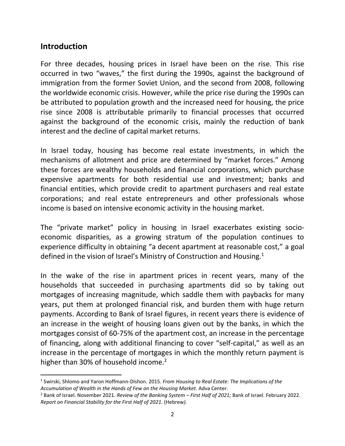## **Introduction**

For three decades, housing prices in Israel have been on the rise. This rise occurred in two "waves," the first during the 1990s, against the background of immigration from the former Soviet Union, and the second from 2008, following the worldwide economic crisis. However, while the price rise during the 1990s can be attributed to population growth and the increased need for housing, the price rise since 2008 is attributable primarily to financial processes that occurred against the background of the economic crisis, mainly the reduction of bank interest and the decline of capital market returns.

In Israel today, housing has become real estate investments, in which the mechanisms of allotment and price are determined by "market forces." Among these forces are wealthy households and financial corporations, which purchase expensive apartments for both residential use and investment; banks and financial entities, which provide credit to apartment purchasers and real estate corporations; and real estate entrepreneurs and other professionals whose income is based on intensive economic activity in the housing market.

The "private market" policy in housing in Israel exacerbates existing socioeconomic disparities, as a growing stratum of the population continues to experience difficulty in obtaining "a decent apartment at reasonable cost," a goal defined in the vision of Israel's Ministry of Construction and Housing.<sup>1</sup>

In the wake of the rise in apartment prices in recent years, many of the households that succeeded in purchasing apartments did so by taking out mortgages of increasing magnitude, which saddle them with paybacks for many years, put them at prolonged financial risk, and burden them with huge return payments. According to Bank of Israel figures, in recent years there is evidence of an increase in the weight of housing loans given out by the banks, in which the mortgages consist of 60-75% of the apartment cost, an increase in the percentage of financing, along with additional financing to cover "self-capital," as well as an increase in the percentage of mortgages in which the monthly return payment is higher than 30% of household income.<sup>2</sup>

<sup>1</sup> Swirski, Shlomo and Yaron Hoffmann-Dishon. 2015. *From Housing to Real Estate: The Implications of the Accumulation of Wealth in the Hands of Few on the Housing Market.* Adva Center.

<sup>2</sup> Bank of Israel. November 2021. *Review of the Banking System – First Half of 2021;* Bank of Israel. February 2022. *Report on Financial Stability for the First Half of 2021.* (Hebrew*).*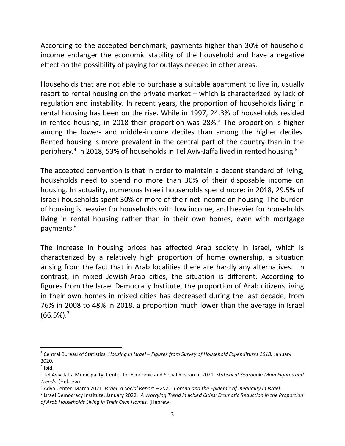According to the accepted benchmark, payments higher than 30% of household income endanger the economic stability of the household and have a negative effect on the possibility of paying for outlays needed in other areas.

Households that are not able to purchase a suitable apartment to live in, usually resort to rental housing on the private market – which is characterized by lack of regulation and instability. In recent years, the proportion of households living in rental housing has been on the rise. While in 1997, 24.3% of households resided in rented housing, in 2018 their proportion was  $28\%$ <sup>3</sup> The proportion is higher among the lower- and middle-income deciles than among the higher deciles. Rented housing is more prevalent in the central part of the country than in the periphery.<sup>4</sup> In 2018, 53% of households in Tel Aviv-Jaffa lived in rented housing.<sup>5</sup>

The accepted convention is that in order to maintain a decent standard of living, households need to spend no more than 30% of their disposable income on housing. In actuality, numerous Israeli households spend more: in 2018, 29.5% of Israeli households spent 30% or more of their net income on housing. The burden of housing is heavier for households with low income, and heavier for households living in rental housing rather than in their own homes, even with mortgage payments.<sup>6</sup>

The increase in housing prices has affected Arab society in Israel, which is characterized by a relatively high proportion of home ownership, a situation arising from the fact that in Arab localities there are hardly any alternatives. In contrast, in mixed Jewish-Arab cities, the situation is different. According to figures from the Israel Democracy Institute, the proportion of Arab citizens living in their own homes in mixed cities has decreased during the last decade, from 76% in 2008 to 48% in 2018, a proportion much lower than the average in Israel  $(66.5\%)$ .<sup>7</sup>

<sup>3</sup> Central Bureau of Statistics. *Housing in Israel – Figures from Survey of Household Expenditures 2018.* January 2020.

<sup>4</sup> Ibid.

<sup>5</sup> Tel Aviv-Jaffa Municipality. Center for Economic and Social Research. 2021. *Statistical Yearbook: Main Figures and Trends.* (Hebrew)

<sup>6</sup> Adva Center. March 2021. *Israel: A Social Report – 2021: Corona and the Epidemic of Inequality in Israel*.

<sup>7</sup> Israel Democracy Institute. January 2022. *A Worrying Trend in Mixed Cities: Dramatic Reduction in the Proportion of Arab Households Living in Their Own Homes.* (Hebrew)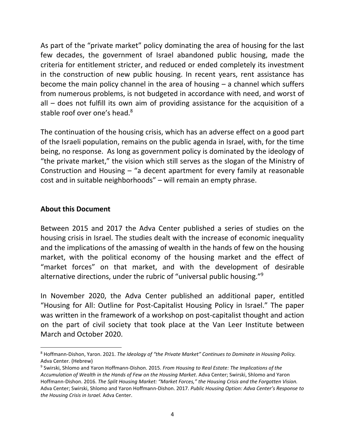As part of the "private market" policy dominating the area of housing for the last few decades, the government of Israel abandoned public housing, made the criteria for entitlement stricter, and reduced or ended completely its investment in the construction of new public housing. In recent years, rent assistance has become the main policy channel in the area of housing  $-$  a channel which suffers from numerous problems, is not budgeted in accordance with need, and worst of all – does not fulfill its own aim of providing assistance for the acquisition of a stable roof over one's head. $8$ 

The continuation of the housing crisis, which has an adverse effect on a good part of the Israeli population, remains on the public agenda in Israel, with, for the time being, no response. As long as government policy is dominated by the ideology of "the private market," the vision which still serves as the slogan of the Ministry of Construction and Housing – "a decent apartment for every family at reasonable cost and in suitable neighborhoods" – will remain an empty phrase.

## **About this Document**

Between 2015 and 2017 the Adva Center published a series of studies on the housing crisis in Israel. The studies dealt with the increase of economic inequality and the implications of the amassing of wealth in the hands of few on the housing market, with the political economy of the housing market and the effect of "market forces" on that market, and with the development of desirable alternative directions, under the rubric of "universal public housing."<sup>9</sup>

In November 2020, the Adva Center published an additional paper, entitled "Housing for All: Outline for Post-Capitalist Housing Policy in Israel." The paper was written in the framework of a workshop on post-capitalist thought and action on the part of civil society that took place at the Van Leer Institute between March and October 2020.

<sup>8</sup> Hoffmann-Dishon, Yaron. 2021. *The Ideology of "the Private Market" Continues to Dominate in Housing Policy.* Adva Center. (Hebrew)

<sup>9</sup> Swirski, Shlomo and Yaron Hoffmann-Dishon. 2015. *From Housing to Real Estate: The Implications of the Accumulation of Wealth in the Hands of Few on the Housing Market*. Adva Center; Swirski, Shlomo and Yaron Hoffmann-Dishon. 2016. *The Split Housing Market: "Market Forces," the Housing Crisis and the Forgotten Vision.* Adva Center; Swirski, Shlomo and Yaron Hoffmann-Dishon. 2017. *Public Housing Option: Adva Center's Response to the Housing Crisis in Israel.* Adva Center.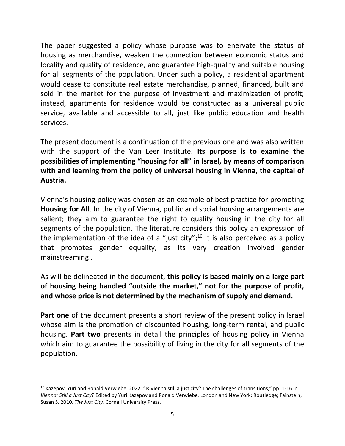The paper suggested a policy whose purpose was to enervate the status of housing as merchandise, weaken the connection between economic status and locality and quality of residence, and guarantee high-quality and suitable housing for all segments of the population. Under such a policy, a residential apartment would cease to constitute real estate merchandise, planned, financed, built and sold in the market for the purpose of investment and maximization of profit; instead, apartments for residence would be constructed as a universal public service, available and accessible to all, just like public education and health services.

The present document is a continuation of the previous one and was also written with the support of the Van Leer Institute. **Its purpose is to examine the possibilities of implementing "housing for all" in Israel, by means of comparison with and learning from the policy of universal housing in Vienna, the capital of Austria.**

Vienna's housing policy was chosen as an example of best practice for promoting **Housing for All**. In the city of Vienna, public and social housing arrangements are salient; they aim to guarantee the right to quality housing in the city for all segments of the population. The literature considers this policy an expression of the implementation of the idea of a "just city";<sup>10</sup> it is also perceived as a policy that promotes gender equality, as its very creation involved gender mainstreaming .

As will be delineated in the document, **this policy is based mainly on a large part of housing being handled "outside the market," not for the purpose of profit, and whose price is not determined by the mechanism of supply and demand.**

**Part one** of the document presents a short review of the present policy in Israel whose aim is the promotion of discounted housing, long-term rental, and public housing. **Part two** presents in detail the principles of housing policy in Vienna which aim to guarantee the possibility of living in the city for all segments of the population.

<sup>&</sup>lt;sup>10</sup> Kazepov, Yuri and Ronald Verwiebe. 2022. "Is Vienna still a just city? The challenges of transitions," pp. 1-16 in *Vienna: Still a Just City?* Edited by Yuri Kazepov and Ronald Verwiebe. London and New York: Routledge; Fainstein, Susan S. 2010. *The Just City.* Cornell University Press.